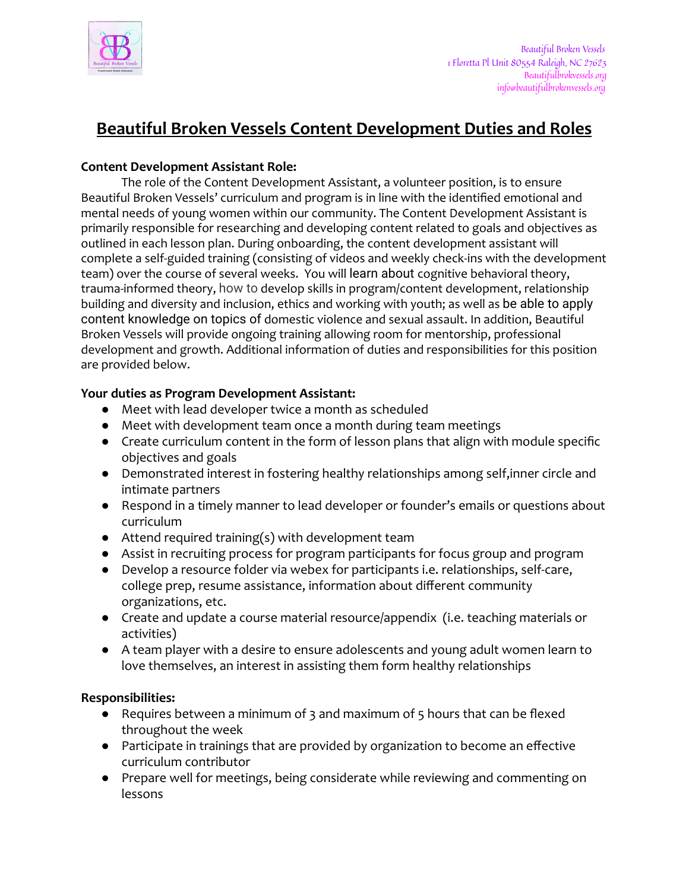

# **Beautiful Broken Vessels Content Development Duties and Roles**

#### **Content Development Assistant Role:**

The role of the Content Development Assistant, a volunteer position, is to ensure Beautiful Broken Vessels' curriculum and program is in line with the identified emotional and mental needs of young women within our community. The Content Development Assistant is primarily responsible for researching and developing content related to goals and objectives as outlined in each lesson plan. During onboarding, the content development assistant will complete a self-guided training (consisting of videos and weekly check-ins with the development team) over the course of several weeks. You will learn about cognitive behavioral theory, trauma-informed theory, how to develop skills in program/content development, relationship building and diversity and inclusion, ethics and working with youth; as well as be able to apply content knowledge on topics of domestic violence and sexual assault. In addition, Beautiful Broken Vessels will provide ongoing training allowing room for mentorship, professional development and growth. Additional information of duties and responsibilities for this position are provided below.

### **Your duties as Program Development Assistant:**

- Meet with lead developer twice a month as scheduled
- Meet with development team once a month during team meetings
- Create curriculum content in the form of lesson plans that align with module specific objectives and goals
- Demonstrated interest in fostering healthy relationships among self,inner circle and intimate partners
- Respond in a timely manner to lead developer or founder's emails or questions about curriculum
- Attend required training(s) with development team
- Assist in recruiting process for program participants for focus group and program
- Develop a resource folder via webex for participants i.e. relationships, self-care, college prep, resume assistance, information about different community organizations, etc.
- Create and update a course material resource/appendix (i.e. teaching materials or activities)
- A team player with a desire to ensure adolescents and young adult women learn to love themselves, an interest in assisting them form healthy relationships

#### **Responsibilities:**

- Requires between a minimum of 3 and maximum of 5 hours that can be flexed throughout the week
- Participate in trainings that are provided by organization to become an effective curriculum contributor
- Prepare well for meetings, being considerate while reviewing and commenting on lessons